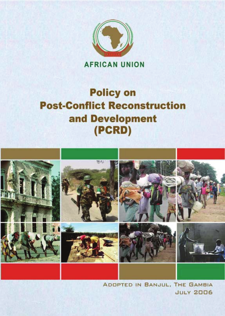

# **Policy on Post-Conflict Reconstruction** and Development (PCRD)



ADDPTED IN BANJUL, THE GAMBIA **JULY 2006**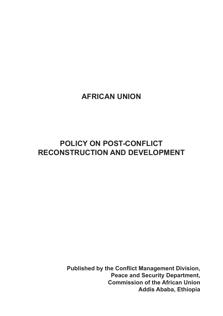# **AFRICAN UNION**

# **POLICY ON POST-CONFLICT RECONSTRUCTION AND DEVELOPMENT**

**Published by the Conflict Management Division, Peace and Security Department, Commission of the African Union Addis Ababa, Ethiopia**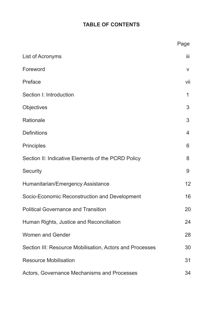# **TABLE OF CONTENTS**

|                                                          | Page |
|----------------------------------------------------------|------|
| List of Acronyms                                         | iii  |
| Foreword                                                 | V    |
| Preface                                                  | vii  |
| Section I: Introduction                                  | 1    |
| Objectives                                               | 3    |
| Rationale                                                | 3    |
| Definitions                                              | 4    |
| Principles                                               | 6    |
| Section II: Indicative Elements of the PCRD Policy       | 8    |
| Security                                                 | 9    |
| Humanitarian/Emergency Assistance                        | 12   |
| Socio-Economic Reconstruction and Development            | 16   |
| <b>Political Governance and Transition</b>               | 20   |
| Human Rights, Justice and Reconciliation                 | 24   |
| Women and Gender                                         | 28   |
| Section III: Resource Mobilisation, Actors and Processes | 30   |
| <b>Resource Mobilisation</b>                             | 31   |
| Actors, Governance Mechanisms and Processes              | 34   |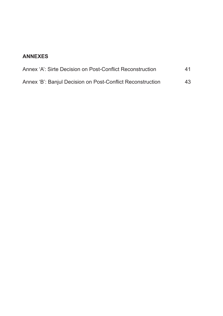# **ANNEXES**

| Annex 'A': Sirte Decision on Post-Conflict Reconstruction  | 41 |
|------------------------------------------------------------|----|
| Annex 'B': Banjul Decision on Post-Conflict Reconstruction | 43 |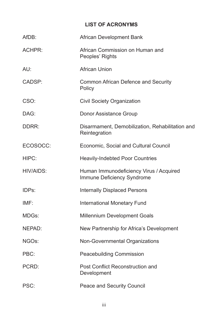# **LIST OF ACRONYMS**

| AfDB:         | African Development Bank                                              |
|---------------|-----------------------------------------------------------------------|
| <b>ACHPR:</b> | African Commission on Human and<br>Peoples' Rights                    |
| AU:           | African Union                                                         |
| CADSP:        | Common African Defence and Security<br>Policy                         |
| CSO:          | <b>Civil Society Organization</b>                                     |
| DAG:          | Donor Assistance Group                                                |
| DDRR:         | Disarmament, Demobilization, Rehabilitation and<br>Reintegration      |
| ECOSOCC:      | Economic, Social and Cultural Council                                 |
| HIPC:         | <b>Heavily-Indebted Poor Countries</b>                                |
| HIV/AIDS:     | Human Immunodeficiency Virus / Acquired<br>Immune Deficiency Syndrome |
| IDPs:         | <b>Internally Displaced Persons</b>                                   |
| IMF:          | International Monetary Fund                                           |
| MDGs:         | Millennium Development Goals                                          |
| NEPAD:        | New Partnership for Africa's Development                              |
| NGOs:         | Non-Governmental Organizations                                        |
| PBC:          | Peacebuilding Commission                                              |
| PCRD:         | Post Conflict Reconstruction and<br>Development                       |
| PSC:          | Peace and Security Council                                            |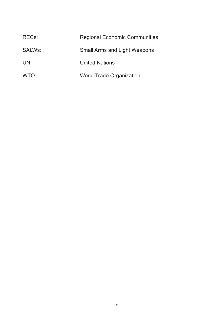| REC <sub>s</sub> : | <b>Regional Economic Communities</b> |
|--------------------|--------------------------------------|
| SALWs:             | Small Arms and Light Weapons         |
| UN:                | <b>United Nations</b>                |
| WTO:               | World Trade Organization             |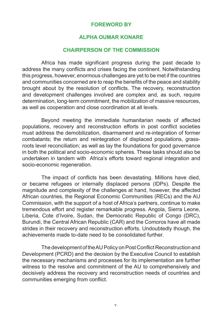### **FOREWORD BY**

### **ALPHA OUMAR KONARE**

#### **CHAIRPERSON OF THE COMMISSION**

Africa has made significant progress during the past decade to address the many conflicts and crises facing the continent. Notwithstanding this progress, however, enormous challenges are yet to be met if the countries and communities concerned are to reap the benefits of the peace and stability brought about by the resolution of conflicts. The recovery, reconstruction and development challenges involved are complex and, as such, require determination, long-term commitment, the mobilization of massive resources, as well as cooperation and close coordination at all levels.

 Beyond meeting the immediate humanitarian needs of affected populations, recovery and reconstruction efforts in post conflict societies must address the demobilization, disarmament and re-integration of former combatants; the return and reintegration of displaced populations, grassroots level reconciliation; as well as lay the foundations for good governance in both the political and socio-economic spheres. These tasks should also be undertaken in tandem with Africa's efforts toward regional integration and socio-economic regeneration.

 The impact of conflicts has been devastating. Millions have died, or became refugees or internally displaced persons (IDPs). Despite the magnitude and complexity of the challenges at hand, however, the affected African countries, the Regional Economic Communities (RECs) and the AU Commission, with the support of a host of Africa's partners, continue to make tremendous effort and register remarkable progress. Angola, Sierra Leone, Liberia, Cote d'Ivoire, Sudan, the Democratic Republic of Congo (DRC), Burundi, the Central African Republic (CAR) and the Comoros have all made strides in their recovery and reconstruction efforts. Undoubtedly though, the achievements made to-date need to be consolidated further.

The development of the AU Policy on Post Conflict Reconstruction and Development (PCRD) and the decision by the Executive Council to establish the necessary mechanisms and processes for its implementation are further witness to the resolve and commitment of the AU to comprehensively and decisively address the recovery and reconstruction needs of countries and communities emerging from conflict.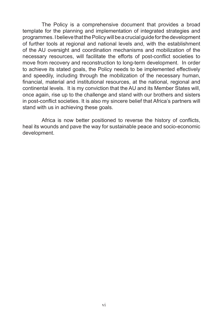The Policy is a comprehensive document that provides a broad template for the planning and implementation of integrated strategies and programmes.IbelievethatthePolicywillbeacrucialguideforthedevelopment of further tools at regional and national levels and, with the establishment of the AU oversight and coordination mechanisms and mobilization of the necessary resources, will facilitate the efforts of post-conflict societies to move from recovery and reconstruction to long-term development. In order to achieve its stated goals, the Policy needs to be implemented effectively and speedily, including through the mobilization of the necessary human, financial, material and institutional resources, at the national, regional and continental levels. It is my conviction that the AU and its Member States will, once again, rise up to the challenge and stand with our brothers and sisters in post-conflict societies. It is also my sincere belief that Africa's partners will stand with us in achieving these goals.

 Africa is now better positioned to reverse the history of conflicts, heal its wounds and pave the way for sustainable peace and socio-economic development.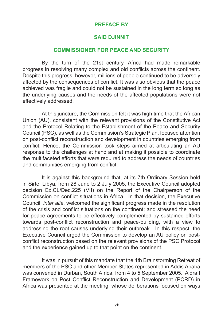### **PREFACE BY**

### **SAID DJINNIT**

### **COMMISSIONER FOR PEACE AND SECURITY**

By the turn of the 21st century, Africa had made remarkable progress in resolving many complex and old conflicts across the continent. Despite this progress, however, millions of people continued to be adversely affected by the consequences of conflict. It was also obvious that the peace achieved was fragile and could not be sustained in the long term so long as the underlying causes and the needs of the affected populations were not effectively addressed.

 At this juncture, the Commission felt it was high time that the African Union (AU), consistent with the relevant provisions of the Constitutive Act and the Protocol Relating to the Establishment of the Peace and Security Council (PSC), as well as the Commission's Strategic Plan, focused attention on post-conflict reconstruction and development in countries emerging from conflict. Hence, the Commission took steps aimed at articulating an AU response to the challenges at hand and at making it possible to coordinate the multifaceted efforts that were required to address the needs of countries and communities emerging from conflict.

 It is against this background that, at its 7th Ordinary Session held in Sirte, Libya, from 28 June to 2 July 2005, the Executive Council adopted decision Ex.CL/Dec.225 (VII) on the Report of the Chairperson of the Commission on conflict situations in Africa. In that decision, the Executive Council, *inter alia*, welcomed the significant progress made in the resolution of the crisis and conflict situations on the continent; and stressed the need for peace agreements to be effectively complemented by sustained efforts towards post-conflict reconstruction and peace-building, with a view to addressing the root causes underlying their outbreak. In this respect, the Executive Council urged the Commission to develop an AU policy on postconflict reconstruction based on the relevant provisions of the PSC Protocol and the experience gained up to that point on the continent.

 It was in pursuit of this mandate that the 4th Brainstorming Retreat of members of the PSC and other Member States represented in Addis Ababa was convened in Durban, South Africa, from 4 to 5 September 2005. A draft Framework on Post Conflict Reconstruction and Development (PCRD) in Africa was presented at the meeting, whose deliberations focused on ways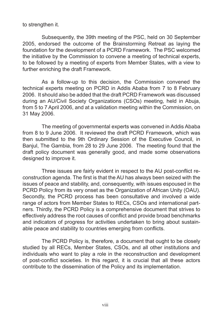to strengthen it.

 Subsequently, the 39th meeting of the PSC, held on 30 September 2005, endorsed the outcome of the Brainstorming Retreat as laying the foundation for the development of a PCRD Framework. The PSC welcomed the initiative by the Commission to convene a meeting of technical experts, to be followed by a meeting of experts from Member States, with a view to further enriching the draft Framework.

 As a follow-up to this decision, the Commission convened the technical experts meeting on PCRD in Addis Ababa from 7 to 8 February 2006. It should also be added that the draft PCRD Framework was discussed during an AU/Civil Society Organizations (CSOs) meeting, held in Abuja, from 5 to 7 April 2006, and at a validation meeting within the Commission, on 31 May 2006.

 The meeting of governmental experts was convened in Addis Ababa from 8 to 9 June 2006. It reviewed the draft PCRD Framework, which was then submitted to the 9th Ordinary Session of the Executive Council, in Banjul, The Gambia, from 28 to 29 June 2006. The meeting found that the draft policy document was generally good, and made some observations designed to improve it.

 Three issues are fairly evident in respect to the AU post-conflict reconstruction agenda. The first is that the AU has always been seized with the issues of peace and stability, and, consequently, with issues espoused in the PCRD Policy from its very onset as the Organization of African Unity (OAU). Secondly, the PCRD process has been consultative and involved a wide range of actors from Member States to RECs, CSOs and international partners. Thirdly, the PCRD Policy is a comprehensive document that strives to effectively address the root causes of conflict and provide broad benchmarks and indicators of progress for activities undertaken to bring about sustainable peace and stability to countries emerging from conflicts.

 The PCRD Policy is, therefore, a document that ought to be closely studied by all RECs, Member States, CSOs, and all other institutions and individuals who want to play a role in the reconstruction and development of post-conflict societies. In this regard, it is crucial that all these actors contribute to the dissemination of the Policy and its implementation.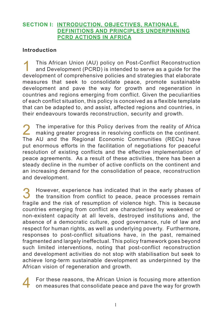### **SECTION I: INTRODUCTION, OBJECTIVES, RATIONALE, DEFINITIONS AND PRINCIPLES UNDERPINNING PCRD ACTIONS IN AFRICA**

## **Introduction**

This African Union (AU) policy on Post-Conflict Reconstruction<br>and Development (PCRD) is intended to serve as a guide for the development of comprehensive policies and strategies that elaborate measures that seek to consolidate peace, promote sustainable development and pave the way for growth and regeneration in countries and regions emerging from conflict. Given the peculiarities of each conflict situation, this policy is conceived as a flexible template that can be adapted to, and assist, affected regions and countries, in their endeavours towards reconstruction, security and growth.

The imperative for this Policy derives from the reality of Africa<br>making greater progress in resolving conflicts on the continent. The AU and the Regional Economic Communities (RECs) have put enormous efforts in the facilitation of negotiations for peaceful resolution of existing conflicts and the effective implementation of peace agreements. As a result of these activities, there has been a steady decline in the number of active conflicts on the continent and an increasing demand for the consolidation of peace, reconstruction and development.

**3** However, experience has indicated that in the early phases of the transition from conflict to peace, peace processes remain fragile and the risk of resumption of violence high. This is because countries emerging from conflict are characterised by weakened or non-existent capacity at all levels, destroyed institutions and, the absence of a democratic culture, good governance, rule of law and respect for human rights, as well as underlying poverty. Furthermore, responses to post-conflict situations have, in the past, remained fragmented and largely ineffectual. This policy framework goes beyond such limited interventions, noting that post-conflict reconstruction and development activities do not stop with stabilisation but seek to achieve long-term sustainable development as underpinned by the African vision of regeneration and growth.



4 For these reasons, the African Union is focusing more attention on measures that consolidate peace and pave the way for growth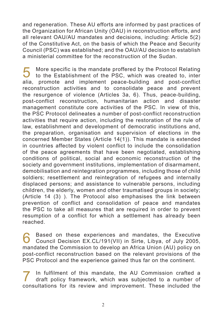and regeneration. These AU efforts are informed by past practices of the Organization for African Unity (OAU) in reconstruction efforts, and all relevant OAU/AU mandates and decisions, including: Article 5(2) of the Constitutive Act, on the basis of which the Peace and Security Council (PSC) was established; and the OAU/AU decision to establish a ministerial committee for the reconstruction of the Sudan.

**5** More specific is the mandate proffered by the Protocol Relating<br>to the Establishment of the PSC, which was created to, inter alia, promote and implement peace-building and post-conflict reconstruction activities and to consolidate peace and prevent the resurgence of violence (Articles 3a, 6). Thus, peace-building, post-conflict reconstruction, humanitarian action and disaster management constitute core activities of the PSC. In view of this, the PSC Protocol delineates a number of post-conflict reconstruction activities that require action, including the restoration of the rule of law, establishment and development of democratic institutions and, the preparation, organisation and supervision of elections in the concerned Member States (Article 14(1)). This mandate is extended in countries affected by violent conflict to include the consolidation of the peace agreements that have been negotiated, establishing conditions of political, social and economic reconstruction of the society and government institutions, implementation of disarmament, demobilisation and reintegration programmes, including those of child soldiers; resettlement and reintegration of refugees and internally displaced persons; and assistance to vulnerable persons, including children, the elderly, women and other traumatised groups in society; (Article 14 (3) ). The Protocol also emphasises the link between prevention of conflict and consolidation of peace and mandates the PSC to take all measures that are required in order to prevent resumption of a conflict for which a settlement has already been reached.

**6** Based on these experiences and mandates, the Executive Council Decision EX.CL/191(VII) in Sirte, Libya, of July 2005, mandated the Commission to develop an Africa Union (AU) policy on post-conflict reconstruction based on the relevant provisions of the PSC Protocol and the experience gained thus far on the continent.

7 In fulfilment of this mandate, the AU Commission crafted <sup>a</sup> draft policy framework, which was subjected to a number of consultations for its review and improvement. These included the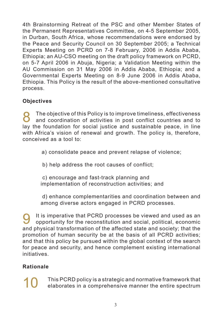4th Brainstorming Retreat of the PSC and other Member States of the Permanent Representatives Committee, on 4-5 September 2005, in Durban, South Africa, whose recommendations were endorsed by the Peace and Security Council on 30 September 2005; a Technical Experts Meeting on PCRD on 7-8 February, 2006 in Addis Ababa, Ethiopia; an AU-CSO meeting on the draft policy framework on PCRD, on 5-7 April 2006 in Abuja, Nigeria; a Validation Meeting within the AU Commission on 31 May 2006 in Addis Ababa, Ethiopia; and a Governmental Experts Meeting on 8-9 June 2006 in Addis Ababa, Ethiopia. This Policy is the result of the above-mentioned consultative process.

# **Objectives**

**8** The objective of this Policy is to improve timeliness, effectiveness<br> **and coordination of activities in post conflict countries and to** lay the foundation for social justice and sustainable peace, in line with Africa's vision of renewal and growth. The policy is, therefore, conceived as a tool to:

 a) consolidate peace and prevent relapse of violence;

b) help address the root causes of conflict;

c) encourage and fast-track planning and implementation of reconstruction activities; and

d) enhance complementarities and coordination between and among diverse actors engaged in PCRD processes.

9 It is imperative that PCRD processes be viewed and used as an opportunity for the reconstitution and social, political, economic and physical transformation of the affected state and society; that the promotion of human security be at the basis of all PCRD activities; and that this policy be pursued within the global context of the search for peace and security, and hence complement existing international initiatives.

# **Rationale**

10 This PCRD policy is a strategic and normative framework that<br>elaborates in a comprehensive manner the entire spectrum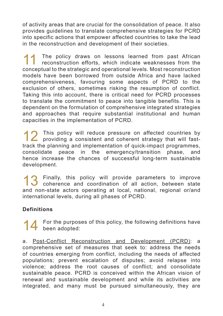of activity areas that are crucial for the consolidation of peace. It also provides guidelines to translate comprehensive strategies for PCRD into specific actions that empower affected countries to take the lead in the reconstruction and development of their societies.

The policy draws on lessons learned from past African<br>reconstruction efforts, which indicate weaknesses from the conceptual to the strategic and operational levels. Most reconstruction models have been borrowed from outside Africa and have lacked comprehensiveness, favouring some aspects of PCRD to the exclusion of others, sometimes risking the resumption of conflict. Taking this into account, there is critical need for PCRD processes to translate the commitment to peace into tangible benefits. This is dependent on the formulation of comprehensive integrated strategies and approaches that require substantial institutional and human capacities in the implementation of PCRD.

12 This policy will reduce pressure on affected countries by providing a consistent and coherent strategy that will fasttrack the planning and implementation of quick-impact programmes, consolidate peace in the emergency/transition phase, and hence increase the chances of successful long-term sustainable development.

13 Finally, this policy will provide parameters to improve<br>coherence and coordination of all action, between state and non-state actors operating at local, national, regional or/and international levels, during all phases of PCRD.

# **Definitions**

14 For the purposes of this policy, the following definitions have 14 been adopted:

a. Post-Conflict Reconstruction and Development (PCRD): a comprehensive set of measures that seek to: address the needs of countries emerging from conflict, including the needs of affected populations; prevent escalation of disputes; avoid relapse into violence; address the root causes of conflict; and consolidate sustainable peace. PCRD is conceived within the African vision of renewal and sustainable development and while its activities are integrated, and many must be pursued simultaneously, they are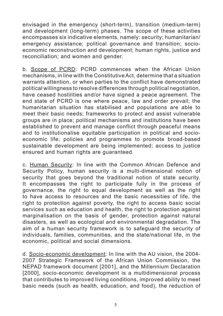envisaged in the emergency (short-term), transition (medium-term) and development (long-term) phases. The scope of these activities encompasses six indicative elements, namely: security; humanitarian/ emergency assistance; political governance and transition; socioeconomic reconstruction and development; human rights, justice and reconciliation; and women and gender.

b. Scope of PCRD: PCRD commences when the African Union mechanisms, in line with the ConstitutiveAct, determine that a situation warrants attention, or when parties to the conflict have demonstrated political willingness to resolve differences through political negotiation, have ceased hostilities and/or have signed a peace agreement. The end state of PCRD is one where peace, law and order prevail; the humanitarian situation has stabilised and populations are able to meet their basic needs; frameworks to protect and assist vulnerable groups are in place; political mechanisms and institutions have been established to prevent and manage conflict through peaceful means and to institutionalise equitable participation in political and socioeconomic life; policies and programmes to promote broad-based sustainable development are being implemented; access to justice ensured and human rights are guaranteed.

c. Human Security: In line with the Common African Defence and Security Policy, human security is a multi-dimensional notion of security that goes beyond the traditional notion of state security. It encompasses the right to participate fully in the process of governance, the right to equal development as well as the right to have access to resources and the basic necessities of life, the right to protection against poverty, the right to access basic social services such as education and health, the right to protection against marginalisation on the basis of gender, protection against natural disasters, as well as ecological and environmental degradation. The aim of a human security framework is to safeguard the security of individuals, families, communities, and the state/national life, in the economic, political and social dimensions.

d. Socio-economic development: In line with the AU vision, the 2004- 2007 Strategic Framework of the African Union Commission, the NEPAD framework document [2001], and the Millennium Declaration [2000], socio-economic development is a multidimensional process that contributes to improved living conditions, improved ability to meet basic needs (such as health, education, and food), the reduction of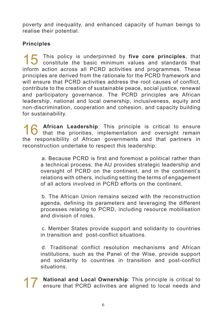poverty and inequality, and enhanced capacity of human beings to realise their potential.

# **Principles**

15 This policy is underpinned by **five core principles**, that constitute the basic minimum values and standards that inform action across all PCRD activities and programmes. These principles are derived from the rationale for the PCRD framework and will ensure that PCRD activities address the root causes of conflict. contribute to the creation of sustainable peace, social justice, renewal and participatory governance. The PCRD principles are African leadership, national and local ownership, inclusiveness, equity and non-discrimination, cooperation and cohesion, and capacity building for sustainability.

16 African Leadership: This principle is critical to ensure<br>that the priorities, implementation and oversight remain the responsibility of African governments and that partners in reconstruction undertake to respect this leadership:

 a. Because PCRD is first and foremost a political rather than a technical process, the AU provides strategic leadership and oversight of PCRD on the continent, and in the continent's relations with others, including setting the terms of engagement of all actors involved in PCRD efforts on the continent.

 b. The African Union remains seized with the reconstruction agenda, defining its parameters and leveraging the different processes relating to PCRD, including resource mobilisation and division of roles.

 c. Member States provide support and solidarity to countries in transition and post-conflict situations.

 d. Traditional conflict resolution mechanisms and African institutions, such as the Panel of the Wise, provide support and solidarity to countries in transition and post-conflict situations.

17 **National and Local Ownership**: This principle is critical to ensure that PCRD activities are aligned to local needs and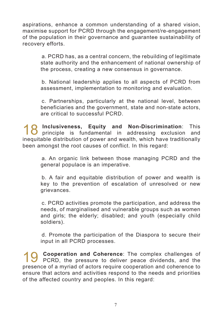aspirations, enhance a common understanding of a shared vision, maximise support for PCRD through the engagement/re-engagement of the population in their governance and guarantee sustainability of recovery efforts.

 a. PCRD has, as a central concern, the rebuilding of legitimate state authority and the enhancement of national ownership of the process, creating a new consensus in governance.

 b. National leadership applies to all aspects of PCRD from assessment, implementation to monitoring and evaluation.

 c. Partnerships, particularly at the national level, between beneficiaries and the government, state and non-state actors, are critical to successful PCRD.

18 **Inclusiveness, Equity and Non-Discrimination**: This principle is fundamental in addressing exclusion and inequitable distribution of power and wealth, which have traditionally been amongst the root causes of conflict. In this regard:

 a. An organic link between those managing PCRD and the general populace is an imperative.

 b. A fair and equitable distribution of power and wealth is key to the prevention of escalation of unresolved or new grievances.

 c. PCRD activities promote the participation, and address the needs, of marginalised and vulnerable groups such as women and girls; the elderly; disabled; and youth (especially child soldiers).

 d. Promote the participation of the Diaspora to secure their input in all PCRD processes.

**1 Cooperation and Coherence**: The complex challenges of PCRD, the pressure to deliver peace dividends, and the presence of a myriad of actors require cooperation and coherence to ensure that actors and activities respond to the needs and priorities of the affected country and peoples. In this regard: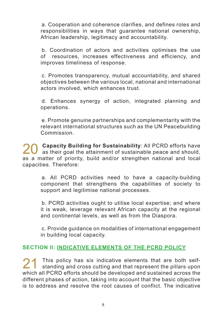a. Cooperation and coherence clarifies, and defines roles and responsibilities in ways that guarantee national ownership, African leadership, legitimacy and accountability.

 b. Coordination of actors and activities optimises the use of resources, increases effectiveness and efficiency, and improves timeliness of response.

 c. Promotes transparency, mutual accountability, and shared objectives between the various local, national and international actors involved, which enhances trust.

 d. Enhances synergy of action, integrated planning and operations.

 e. Promote genuine partnerships and complementarity with the relevant international structures such as the UN Peacebuilding Commission.

20 **Capacity Building for Sustainability**: All PCRD efforts have<br>as their goal the attainment of sustainable peace and should, as a matter of priority, build and/or strengthen national and local capacities. Therefore:

 a. All PCRD activities need to have a capacity-building component that strengthens the capabilities of society to support and legitimise national processes.

 b. PCRD activities ought to utilise local expertise; and where it is weak, leverage relevant African capacity at the regional and continental levels, as well as from the Diaspora.

 c. Provide guidance on modalities of international engagement in building local capacity.

# **SECTION II: INDICATIVE ELEMENTS OF THE PCRD POLICY**

21 This policy has six indicative elements that are both self-<br>standing and cross cutting and that represent the pillars upon which all PCRD efforts should be developed and sustained across the different phases of action, taking into account that the basic objective is to address and resolve the root causes of conflict. The indicative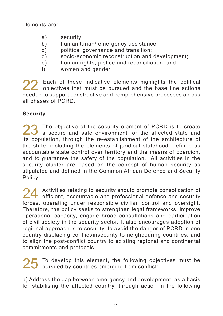elements are:

- a) security;
- b) humanitarian/ emergency assistance:
- c) political governance and transition:
- $\mathbf{d}$  socio-economic reconstruction and development;
- e) human rights, justice and reconciliation; and
- f) women and gender.

22 Each of these indicative elements highlights the political<br>objectives that must be pursued and the base line actions needed to support constructive and comprehensive processes across all phases of PCRD.

# **Security**

23 The objective of the security element of PCRD is to create<br>a secure and safe environment for the affected state and its population, through the re-establishment of the architecture of the state, including the elements of juridical statehood, defined as accountable state control over territory and the means of coercion, and to guarantee the safety of the population. All activities in the security cluster are based on the concept of human security as stipulated and defined in the Common African Defence and Security Policy.

24 Activities relating to security should promote consolidation of<br>
efficient, accountable and professional defence and security forces, operating under responsible civilian control and oversight. Therefore, the policy seeks to strengthen legal frameworks, improve operational capacity, engage broad consultations and participation of civil society in the security sector. It also encourages adoption of regional approaches to security, to avoid the danger of PCRD in one country displacing conflict/insecurity to neighbouring countries, and to align the post-conflict country to existing regional and continental commitments and protocols.

25 To develop this element, the following objectives must be pursued by countries emerging from conflict:

a) Address the gap between emergency and development, as a basis for stabilising the affected country, through action in the following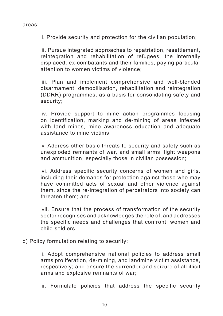i. Provide security and protection for the civilian population;

 ii. Pursue integrated approaches to repatriation, resettlement, reintegration and rehabilitation of refugees, the internally displaced, ex-combatants and their families, paying particular attention to women victims of violence;

 iii. Plan and implement comprehensive and well-blended disarmament, demobilisation, rehabilitation and reintegration (DDRR) programmes, as a basis for consolidating safety and security;

 iv. Provide support to mine action programmes focusing on identification, marking and de-mining of areas infested with land mines, mine awareness education and adequate assistance to mine victims;

 v. Address other basic threats to security and safety such as unexploded remnants of war, and small arms, light weapons and ammunition, especially those in civilian possession;

 vi. Address specific security concerns of women and girls, including their demands for protection against those who may have committed acts of sexual and other violence against them, since the re-integration of perpetrators into society can threaten them; and

 vii. Ensure that the process of transformation of the security sector recognises and acknowledges the role of, and addresses the specific needs and challenges that confront, women and child soldiers.

b) Policy formulation relating to security:

 i. Adopt comprehensive national policies to address small arms proliferation, de-mining, and landmine victim assistance, respectively; and ensure the surrender and seizure of all illicit arms and explosive remnants of war;

 ii. Formulate policies that address the specific security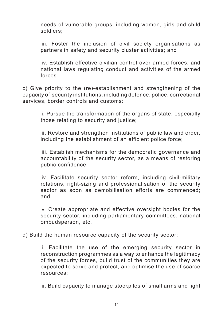needs of vulnerable groups, including women, girls and child soldiers;

iii. Foster the inclusion of civil society organisations as partners in safety and security cluster activities; and

 iv. Establish effective civilian control over armed forces, and national laws regulating conduct and activities of the armed forces.

c) Give priority to the (re)-establishment and strengthening of the capacity of security institutions, including defence, police, correctional services, border controls and customs:

 i. Pursue the transformation of the organs of state, especially those relating to security and justice;

 ii. Restore and strengthen institutions of public law and order, including the establishment of an efficient police force;

 iii. Establish mechanisms for the democratic governance and accountability of the security sector, as a means of restoring public confidence;

 iv. Facilitate security sector reform, including civil-military relations, right-sizing and professionalisation of the security sector as soon as demobilisation efforts are commenced; and

 v. Create appropriate and effective oversight bodies for the security sector, including parliamentary committees, national ombudsperson, etc.

d) Build the human resource capacity of the security sector:

 i. Facilitate the use of the emerging security sector in reconstruction programmes as a way to enhance the legitimacy of the security forces, build trust of the communities they are expected to serve and protect, and optimise the use of scarce resources;

 ii. Build capacity to manage stockpiles of small arms and light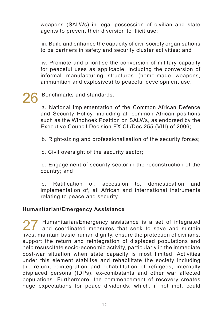weapons (SALWs) in legal possession of civilian and state agents to prevent their diversion to illicit use;

 iii. Build and enhance the capacity of civil society organisations to be partners in safety and security cluster activities; and

 iv. Promote and prioritise the conversion of military capacity for peaceful uses as applicable, including the conversion of informal manufacturing structures (home-made weapons, ammunition and explosives) to peaceful development use.

# Benchmarks and standards:

 a. National implementation of the Common African Defence and Security Policy, including all common African positions such as the Windhoek Position on SALWs, as endorsed by the Executive Council Decision EX.CL/Dec.255 (VIII) of 2006;

 b. Right-sizing and professionalisation of the security forces;

 c. Civil oversight of the security sector;

 d. Engagement of security sector in the reconstruction of the country; and

 e. Ratification of, accession to, domestication and implementation of, all African and international instruments relating to peace and security.

## **Humanitarian/Emergency Assistance**

27 Humanitarian/Emergency assistance is a set of integrated<br>and coordinated measures that seek to save and sustain lives, maintain basic human dignity, ensure the protection of civilians, support the return and reintegration of displaced populations and help resuscitate socio-economic activity, particularly in the immediate post-war situation when state capacity is most limited. Activities under this element stabilise and rehabilitate the society including the return, reintegration and rehabilitation of refugees, internally displaced persons (IDPs), ex-combatants and other war affected populations. Furthermore, the commencement of recovery creates huge expectations for peace dividends, which, if not met, could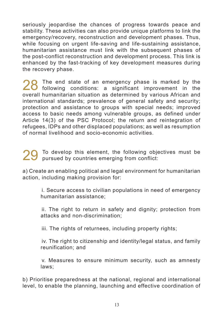seriously jeopardise the chances of progress towards peace and stability. These activities can also provide unique platforms to link the emergency/recovery, reconstruction and development phases. Thus, while focusing on urgent life-saving and life-sustaining assistance. humanitarian assistance must link with the subsequent phases of the post-conflict reconstruction and development process. This link is enhanced by the fast-tracking of key development measures during the recovery phase.

28 The end state of an emergency phase is marked by the<br>following conditions: a significant improvement in the overall humanitarian situation as determined by various African and international standards; prevalence of general safety and security; protection and assistance to groups with special needs; improved access to basic needs among vulnerable groups, as defined under Article 14(3) of the PSC Protocol; the return and reintegration of refugees, IDPs and other displaced populations; as well as resumption of normal livelihood and socio-economic activities.

To develop this element, the following objectives must be pursued by countries emerging from conflict:

a) Create an enabling political and legal environment for humanitarian action, including making provision for:

> i. Secure access to civilian populations in need of emergency humanitarian assistance;

> ii. The right to return in safety and dignity; protection from attacks and non-discrimination;

 iii. The rights of returnees, including property rights;

 iv. The right to citizenship and identity/legal status, and family reunification; and

 v. Measures to ensure minimum security, such as amnesty laws;

b) Prioritise preparedness at the national, regional and international level, to enable the planning, launching and effective coordination of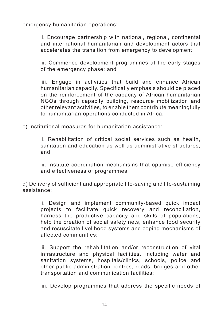emergency humanitarian operations:

 i. Encourage partnership with national, regional, continental and international humanitarian and development actors that accelerates the transition from emergency to development;

 ii. Commence development programmes at the early stages of the emergency phase; and

 iii. Engage in activities that build and enhance African humanitarian capacity. Specifically emphasis should be placed on the reinforcement of the capacity of African humanitarian NGOs through capacity building, resource mobilization and other relevant activities, to enable them contribute meaningfully to humanitarian operations conducted in Africa.

c) Institutional measures for humanitarian assistance:

 i. Rehabilitation of critical social services such as health, sanitation and education as well as administrative structures; and

 ii. Institute coordination mechanisms that optimise efficiency and effectiveness of programmes.

d) Delivery of sufficient and appropriate life-saving and life-sustaining assistance:

 i. Design and implement community-based quick impact projects to facilitate quick recovery and reconciliation, harness the productive capacity and skills of populations, help the creation of social safety nets, enhance food security and resuscitate livelihood systems and coping mechanisms of affected communities;

 ii. Support the rehabilitation and/or reconstruction of vital infrastructure and physical facilities, including water and sanitation systems, hospitals/clinics, schools, police and other public administration centres, roads, bridges and other transportation and communication facilities;

 iii. Develop programmes that address the specific needs of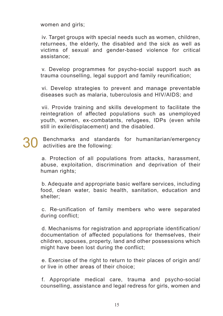women and girls;

iv. Target groups with special needs such as women, children, returnees, the elderly, the disabled and the sick as well as victims of sexual and gender-based violence for critical assistance;

 v. Develop programmes for psycho-social support such as trauma counselling, legal support and family reunification;

 vi. Develop strategies to prevent and manage preventable diseases such as malaria, tuberculosis and HIV/AIDS; and

 vii. Provide training and skills development to facilitate the reintegration of affected populations such as unemployed youth, women, ex-combatants, refugees, IDPs (even while still in exile/displacement) and the disabled.

Benchmarks and standards for humanitarian/emergency activities are the following:

 a. Protection of all populations from attacks, harassment, abuse, exploitation, discrimination and deprivation of their human rights;

 b. Adequate and appropriate basic welfare services, including food, clean water, basic health, sanitation, education and shelter;

 c. Re-unification of family members who were separated during conflict;

 d. Mechanisms for registration and appropriate identification/ documentation of affected populations for themselves, their children, spouses, property, land and other possessions which might have been lost during the conflict;

 e. Exercise of the right to return to their places of origin and/ or live in other areas of their choice;

 f. Appropriate medical care, trauma and psycho-social counselling, assistance and legal redress for girls, women and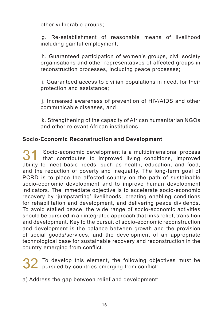other vulnerable groups;

 g. Re-establishment of reasonable means of livelihood including gainful employment:

 h. Guaranteed participation of women's groups, civil society organisations and other representatives of affected groups in reconstruction processes, including peace processes;

 i. Guaranteed access to civilian populations in need, for their protection and assistance;

 j. Increased awareness of prevention of HIV/AIDS and other communicable diseases, and

 k. Strengthening of the capacity of African humanitarian NGOs and other relevant African institutions.

## **Socio-Economic Reconstruction and Development**

31 Socio-economic development is <sup>a</sup> multidimensional process that contributes to improved living conditions, improved ability to meet basic needs, such as health, education, and food, and the reduction of poverty and inequality. The long-term goal of PCRD is to place the affected country on the path of sustainable socio-economic development and to improve human development indicators. The immediate objective is to accelerate socio-economic recovery by 'jumpstarting' livelihoods, creating enabling conditions for rehabilitation and development, and delivering peace dividends. To avoid stalled peace, the wide range of socio-economic activities should be pursued in an integrated approach that links relief, transition and development. Key to the pursuit of socio-economic reconstruction and development is the balance between growth and the provision of social goods/services, and the development of an appropriate technological base for sustainable recovery and reconstruction in the country emerging from conflict.

32 To develop this element, the following objectives must be pursued by countries emerging from conflict:

a) Address the gap between relief and development: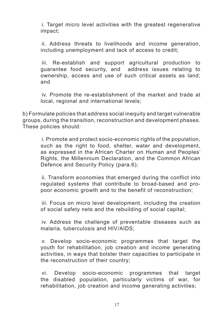i. Target micro level activities with the greatest regenerative impact;

 ii. Address threats to livelihoods and income generation, including unemployment and lack of access to credit;

 iii. Re-establish and support agricultural production to guarantee food security, and address issues relating to ownership, access and use of such critical assets as land; and

 iv. Promote the re-establishment of the market and trade at local, regional and international levels;

b) Formulate policies that address social inequity and target vulnerable groups, during the transition, reconstruction and development phases. These policies should:

> i. Promote and protect socio-economic rights of the population, such as the right to food, shelter, water and development, as expressed in the African Charter on Human and Peoples' Rights, the Millennium Declaration, and the Common African Defence and Security Policy (para.6);

> ii. Transform economies that emerged during the conflict into regulated systems that contribute to broad-based and propoor economic growth and to the benefit of reconstruction;

> iii. Focus on micro level development, including the creation of social safety nets and the rebuilding of social capital;

> iv. Address the challenge of preventable diseases such as malaria, tuberculosis and HIV/AIDS;

> v. Develop socio-economic programmes that target the youth for rehabilitation, job creation and income generating activities, in ways that bolster their capacities to participate in the reconstruction of their country;

> vi. Develop socio-economic programmes that target the disabled population, particularly victims of war, for rehabilitation, job creation and income generating activities;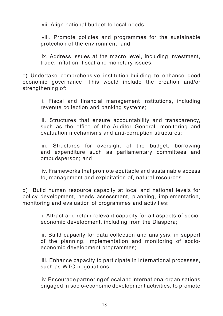vii. Align national budget to local needs;

 viii. Promote policies and programmes for the sustainable protection of the environment; and

 ix. Address issues at the macro level, including investment, trade, inflation, fiscal and monetary issues.

c) Undertake comprehensive institution-building to enhance good economic governance. This would include the creation and/or strengthening of:

 i. Fiscal and financial management institutions, including revenue collection and banking systems;

 ii. Structures that ensure accountability and transparency, such as the office of the Auditor General, monitoring and evaluation mechanisms and anti-corruption structures;

 iii. Structures for oversight of the budget, borrowing and expenditure such as parliamentary committees and ombudsperson; and

 iv. Frameworks that promote equitable and sustainable access to, management and exploitation of, natural resources.

d) Build human resource capacity at local and national levels for policy development, needs assessment, planning, implementation, monitoring and evaluation of programmes and activities:

> i. Attract and retain relevant capacity for all aspects of socioeconomic development, including from the Diaspora;

> ii. Build capacity for data collection and analysis, in support of the planning, implementation and monitoring of socioeconomic development programmes;

> iii. Enhance capacity to participate in international processes, such as WTO negotiations;

> iv.Encourage partnering of local and international organisations engaged in socio-economic development activities, to promote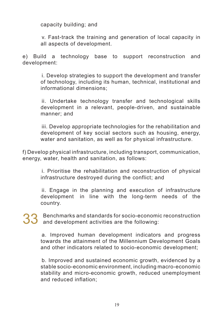capacity building; and

 v. Fast-track the training and generation of local capacity in all aspects of development.

e) Build a technology base to support reconstruction and development:

 i. Develop strategies to support the development and transfer of technology, including its human, technical, institutional and informational dimensions;

 ii. Undertake technology transfer and technological skills development in a relevant, people-driven, and sustainable manner; and

 iii. Develop appropriate technologies for the rehabilitation and development of key social sectors such as housing, energy, water and sanitation, as well as for physical infrastructure.

f) Develop physical infrastructure, including transport, communication, energy, water, health and sanitation, as follows:

 i. Prioritise the rehabilitation and reconstruction of physical infrastructure destroyed during the conflict; and

 ii. Engage in the planning and execution of infrastructure development in line with the long-term needs of the country.

33 Benchmarks and standards for socio-economic reconstruction and development activities are the following:

 a. Improved human development indicators and progress towards the attainment of the Millennium Development Goals and other indicators related to socio-economic development;

 b. Improved and sustained economic growth, evidenced by a stable socio-economic environment, including macro-economic stability and micro-economic growth, reduced unemployment and reduced inflation;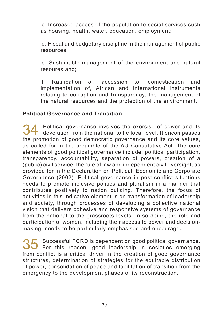c. Increased access of the population to social services such as housing, health, water, education, employment;

 d. Fiscal and budgetary discipline in the management of public resources; 

 e. Sustainable management of the environment and natural resoures and;

 f. Ratification of, accession to, domestication and implementation of, African and international instruments relating to corruption and transparency, the management of the natural resources and the protection of the environment.

# **Political Governance and Transition**

34 Political governance involves the exercise of power and its devolution from the national to he local level. It encompasses the promotion of good democratic governance and its core values, as called for in the preamble of the AU Constitutive Act. The core elements of good political governance include: political participation, transparency, accountability, separation of powers, creation of a (public) civil service, the rule of law and independent civil oversight, as provided for in the Declaration on Political, Economic and Corporate Governance (2002). Political governance in post-conflict situations needs to promote inclusive politics and pluralism in a manner that contributes positively to nation building. Therefore, the focus of activities in this indicative element is on transformation of leadership and society, through processes of developing a collective national vision that delivers cohesive and responsive systems of governance from the national to the grassroots levels. In so doing, the role and participation of women, including their access to power and decisionmaking, needs to be particularly emphasised and encouraged.

35 Successful PCRD is dependent on good political governance. For this reason, good leadership in societies emerging from conflict is a critical driver in the creation of good governance structures, determination of strategies for the equitable distribution of power, consolidation of peace and facilitation of transition from the emergency to the development phases of its reconstruction.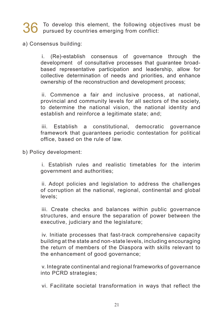36 To develop this element, the following objectives must be pursued by countries emerging from conflict:

a) Consensus building:

 i. (Re)-establish consensus of governance through the development of consultative processes that guarantee broadbased representative participation and leadership, allow for collective determination of needs and priorities, and enhance ownership of the reconstruction and development process;

 ii. Commence a fair and inclusive process, at national, provincial and community levels for all sectors of the society, to determine the national vision, the national identity and establish and reinforce a legitimate state; and;

 iii. Establish a constitutional, democratic governance framework that guarantees periodic contestation for political office, based on the rule of law.

b) Policy development:

 i. Establish rules and realistic timetables for the interim government and authorities;

 ii. Adopt policies and legislation to address the challenges of corruption at the national, regional, continental and global levels;

 iii. Create checks and balances within public governance structures, and ensure the separation of power between the executive, judiciary and the legislature;

 iv. Initiate processes that fast-track comprehensive capacity building at the state and non-state levels, including encouraging the return of members of the Diaspora with skills relevant to the enhancement of good governance;

 v. Integrate continental and regional frameworks of governance into PCRD strategies;

 vi. Facilitate societal transformation in ways that reflect the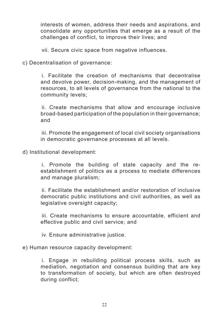interests of women, address their needs and aspirations, and consolidate any opportunities that emerge as a result of the challenges of conflict, to improve their lives; and

 vii. Secure civic space from negative influences.

c) Decentralisation of governance:

 i. Facilitate the creation of mechanisms that decentralise and devolve power, decision-making, and the management of resources, to all levels of governance from the national to the community levels;

 ii. Create mechanisms that allow and encourage inclusive broad-based participation of the population in their governance; and

 iii. Promote the engagement of local civil society organisations in democratic governance processes at all levels.

d) Institutional development:

 i. Promote the building of state capacity and the reestablishment of politics as a process to mediate differences and manage pluralism;

 ii. Facilitate the establishment and/or restoration of inclusive democratic public institutions and civil authorities, as well as legislative oversight capacity;

 iii. Create mechanisms to ensure accountable, efficient and effective public and civil service; and

 iv. Ensure administrative justice.

e) Human resource capacity development:

 i. Engage in rebuilding political process skills, such as mediation, negotiation and consensus building that are key to transformation of society, but which are often destroyed during conflict;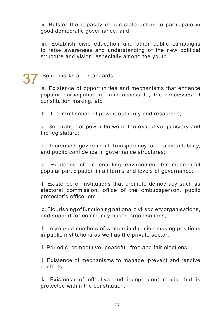ii. Bolster the capacity of non-state actors to participate in good democratic governance; and

 iii. Establish civic education and other public campaigns to raise awareness and understanding of the new political structure and vision, especially among the youth.

# Benchmarks and standards:

 a. Existence of opportunities and mechanisms that enhance popular participation in, and access to, the processes of constitution making, etc.;

 b. Decentralisation of power, authority and resources;

 c. Separation of power between the executive, judiciary and the legislature;

 d. Increased government transparency and accountability, and public confidence in governance structures;

 e. Existence of an enabling environment for meaningful popular participation in all forms and levels of governance;

 f. Existence of institutions that promote democracy such as electoral commission, office of the ombudsperson, public protector's office, etc.;

 g. Flourishing of functioning national civil society organisations, and support for community-based organisations;

 h. Increased numbers of women in decision-making positions in public institutions as well as the private sector;

 i. Periodic, competitive, peaceful, free and fair elections;

 j. Existence of mechanisms to manage, prevent and resolve conflicts;

 k. Existence of effective and independent media that is protected within the constitution;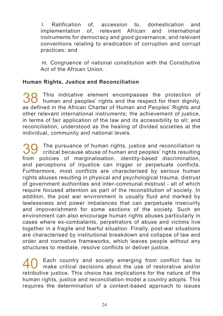l. Ratification of, accession to, domestication and implementation of, relevant African and international instruments for democracy and good governance, and relevant conventions relating to eradication of corruption and corrupt practices; and

 m. Congruence of national constitution with the Constitutive Act of the African Union.

# **Human Rights, Justice and Reconciliation**

38 This indicative element encompasses the protection of human and peoples' rights and the respect for their dignity, as defined in the African Charter of Human and Peoples' Rights and other relevant international instruments; the achievement of justice, in terms of fair application of the law and its accessibility to all; and reconciliation, understood as the healing of divided societies at the individual, community and national levels.

39 The pursuance of human rights, justice and reconciliation is critical because abuse of human and peoples' rights resulting from policies of marginalisation, identity-based discrimination, and perceptions of injustice can trigger or perpetuate conflicts. Furthermore, most conflicts are characterised by serious human rights abuses resulting in physical and psychological trauma, distrust of government authorities and inter-communal mistrust - all of which require focused attention as part of the reconstitution of society. In addition, the post war environment is usually fluid and marked by lawlessness and power imbalances that can perpetuate insecurity and impoverishment for some sections of the society. Such an environment can also encourage human rights abuses particularly in cases where ex-combatants, perpetrators of abuse and victims live together in a fragile and fearful situation. Finally, post-war situations are characterised by institutional breakdown and collapse of law and order and normative frameworks, which leaves people without any structures to mediate, resolve conflicts or deliver justice.

Each country and society emerging from conflict has to make critical decisions about the use of restorative and/or retributive justice. This choice has implications for the nature of the human rights, justice and reconciliation model a country adopts. This requires the determination of a context-based approach to issues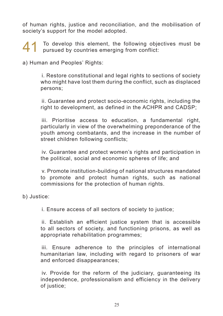of human rights, justice and reconciliation, and the mobilisation of society's support for the model adopted.

41 To develop this element, the following objectives must be pursued by countries emerging from conflict:

a) Human and Peoples' Rights:

 i. Restore constitutional and legal rights to sections of society who might have lost them during the conflict, such as displaced persons;

 ii. Guarantee and protect socio-economic rights, including the right to development, as defined in the ACHPR and CADSP;

 iii. Prioritise access to education, a fundamental right, particularly in view of the overwhelming preponderance of the youth among combatants, and the increase in the number of street children following conflicts;

 iv. Guarantee and protect women's rights and participation in the political, social and economic spheres of life; and

 v. Promote institution-building of national structures mandated to promote and protect human rights, such as national commissions for the protection of human rights.

b) Justice:

 i. Ensure access of all sectors of society to justice;

 ii. Establish an efficient justice system that is accessible to all sectors of society, and functioning prisons, as well as appropriate rehabilitation programmes;

 iii. Ensure adherence to the principles of international humanitarian law, including with regard to prisoners of war and enforced disappearances;

 iv. Provide for the reform of the judiciary, guaranteeing its independence, professionalism and efficiency in the delivery of justice;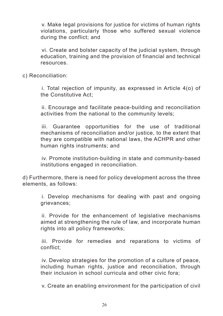v. Make legal provisions for justice for victims of human rights violations, particularly those who suffered sexual violence during the conflict; and

 vi. Create and bolster capacity of the judicial system, through education, training and the provision of financial and technical resources.

c) Reconciliation:

i. Total rejection of impunity, as expressed in Article 4(o) of the Constitutive Act;

 ii. Encourage and facilitate peace-building and reconciliation activities from the national to the community levels;

 iii. Guarantee opportunities for the use of traditional mechanisms of reconciliation and/or justice, to the extent that they are compatible with national laws, the ACHPR and other human rights instruments; and

 iv. Promote institution-building in state and community-based institutions engaged in reconciliation.

d) Furthermore, there is need for policy development across the three elements, as follows:

 i. Develop mechanisms for dealing with past and ongoing grievances;

 ii. Provide for the enhancement of legislative mechanisms aimed at strengthening the rule of law, and incorporate human rights into all policy frameworks;

 iii. Provide for remedies and reparations to victims of conflict;

 iv. Develop strategies for the promotion of a culture of peace, including human rights, justice and reconciliation, through their inclusion in school curricula and other civic fora;

 v. Create an enabling environment for the participation of civil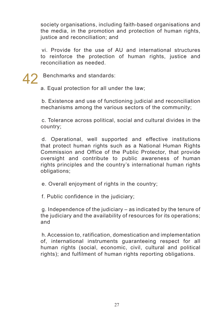society organisations, including faith-based organisations and the media, in the promotion and protection of human rights, justice and reconciliation; and

 vi. Provide for the use of AU and international structures to reinforce the protection of human rights, justice and reconciliation as needed.

42 Benchmarks and standards:

a. Equal protection for all under the law;

 b. Existence and use of functioning judicial and reconciliation mechanisms among the various sectors of the community;

 c. Tolerance across political, social and cultural divides in the country;

 d. Operational, well supported and effective institutions that protect human rights such as a National Human Rights Commission and Office of the Public Protector, that provide oversight and contribute to public awareness of human rights principles and the country's international human rights obligations;

 e. Overall enjoyment of rights in the country;

 f. Public confidence in the judiciary;

 g. Independence of the judiciary – as indicated by the tenure of the judiciary and the availability of resources for its operations; and

 h. Accession to, ratification, domestication and implementation of, international instruments guaranteeing respect for all human rights (social, economic, civil, cultural and political rights); and fulfilment of human rights reporting obligations.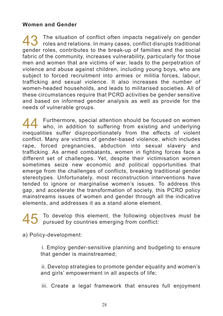### **Women and Gender**

43 The situation of conflict often impacts negatively on gender<br>roles and relations. In many cases, conflict disrupts traditional<br>relationships to the contribution of families and the contribution gender roles, contributes to the break-up of families and the social fabric of the community, increases vulnerability, particularly for those men and women that are victims of war, leads to the perpetration of violence and abuse against children, including young boys, who are subject to forced recruitment into armies or militia forces, labour, trafficking and sexual violence. It also increases the number of women-headed households, and leads to militarised societies. All of these circumstances require that PCRD activities be gender sensitive and based on informed gender analysis as well as provide for the needs of vulnerable groups.

44 Furthermore, special attention should be focused on women<br>who, in addition to suffering from existing and underlying inequalities suffer disproportionately from the effects of violent conflict. Many are victims of gender-based violence, which includes rape, forced pregnancies, abduction into sexual slavery and trafficking. As armed combatants, women in fighting forces face a different set of challenges. Yet, despite their victimisation women sometimes seize new economic and political opportunities that emerge from the challenges of conflicts, breaking traditional gender stereotypes. Unfortunately, most reconstruction interventions have tended to ignore or marginalise women's issues. To address this gap, and accelerate the transformation of society, this PCRD policy mainstreams issues of women and gender through all the indicative elements, and addresses it as a stand alone element.

45 To develop this element, the following objectives must be pursued by countries emerging from conflict:

a) Policy-development:

 i. Employ gender-sensitive planning and budgeting to ensure that gender is mainstreamed;

 ii. Develop strategies to promote gender equality and women's and girls' empowerment in all aspects of life;

iii. Create a legal framework that ensures full enjoyment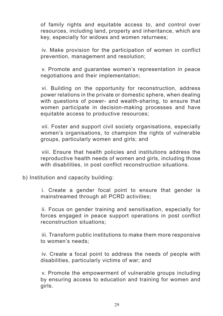of family rights and equitable access to, and control over resources, including land, property and inheritance, which are key, especially for widows and women returnees;

 iv. Make provision for the participation of women in conflict prevention, management and resolution;

 v. Promote and guarantee women's representation in peace negotiations and their implementation;

 vi. Building on the opportunity for reconstruction, address power relations in the private or domestic sphere, when dealing with questions of power- and wealth-sharing, to ensure that women participate in decision-making processes and have equitable access to productive resources;

 vii. Foster and support civil society organisations, especially women's organisations, to champion the rights of vulnerable groups, particularly women and girls; and

 viii. Ensure that health policies and institutions address the reproductive health needs of women and girls, including those with disabilities, in post conflict reconstruction situations.

b) Institution and capacity building:

 i. Create a gender focal point to ensure that gender is mainstreamed through all PCRD activities;

 ii. Focus on gender training and sensitisation, especially for forces engaged in peace support operations in post conflict reconstruction situations;

 iii. Transform public institutions to make them more responsive to women's needs;

 iv. Create a focal point to address the needs of people with disabilities, particularly victims of war; and

 v. Promote the empowerment of vulnerable groups including by ensuring access to education and training for women and girls.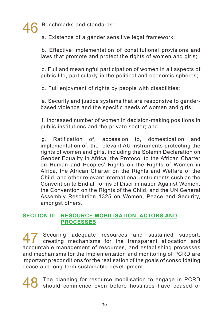Benchmarks and standards:

 a. Existence of a gender sensitive legal framework;

 b. Effective implementation of constitutional provisions and laws that promote and protect the rights of women and girls;

 c. Full and meaningful participation of women in all aspects of public life, particularly in the political and economic spheres;

 d. Full enjoyment of rights by people with disabilities;

 e. Security and justice systems that are responsive to genderbased violence and the specific needs of women and girls;

 f. Increased number of women in decision-making positions in public institutions and the private sector; and

 g. Ratification of, accession to, domestication and implementation of, the relevant AU instruments protecting the rights of women and girls, including the Solemn Declaration on Gender Equality in Africa, the Protocol to the African Charter on Human and Peoples' Rights on the Rights of Women in Africa, the African Charter on the Rights and Welfare of the Child, and other relevant international instruments such as the Convention to End all forms of Discrimination Against Women, the Convention on the Rights of the Child, and the UN General Assembly Resolution 1325 on Women, Peace and Security, amongst others.

# **SECTION III: RESOURCE MOBILISATION, ACTORS AND PROCESSES**

47 Securing adequate resources and sustained support, creating mechanisms for the transparent allocation and accountable management of resources, and establishing processes and mechanisms for the implementation and monitoring of PCRD are important preconditions for the realisation of the goals of consolidating peace and long-term sustainable development.

48 The planning for resource mobilisation to engage in PCRD should commence even before hostilities have ceased or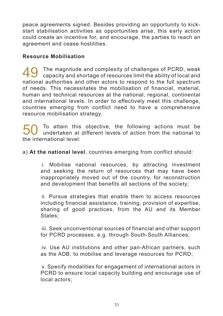peace agreements signed. Besides providing an opportunity to kickstart stabilisation activities as opportunities arise, this early action could create an incentive for, and encourage, the parties to reach an agreement and cease hostilities.

# **Resource Mobilisation**

49 The magnitude and complexity of challenges of PCRD, weak<br>capacity and shortage of resources limit the ability of local and national authorities and other actors to respond to the full spectrum of needs. This necessitates the mobilisation of financial, material, human and technical resources at the national, regional, continental and international levels. In order to effectively meet this challenge, countries emerging from conflict need to have a comprehensive resource mobilisation strategy.

50 To attain this objective, the following actions must be undertaken at different levels of action from the national to the international level:

a) **At the national level**, countries emerging from conflict should:

 i. Mobilise national resources, by attracting investment and seeking the return of resources that may have been inappropriately moved out of the country, for reconstruction and development that benefits all sections of the society;

 ii. Pursue strategies that enable them to access resources including financial assistance, training, provision of expertise, sharing of good practices, from the AU and its Member States;

 iii. Seek unconventional sources of financial and other support for PCRD processes, e.g. through South-South Alliances;

 iv. Use AU institutions and other pan-African partners, such as the ADB, to mobilise and leverage resources for PCRD;

 v. Specify modalities for engagement of international actors in PCRD to ensure local capacity building and encourage use of local actors;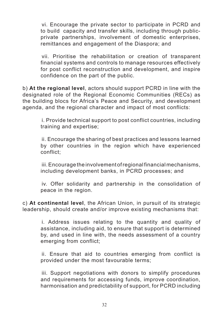vi. Encourage the private sector to participate in PCRD and to build capacity and transfer skills, including through publicprivate partnerships, involvement of domestic enterprises, remittances and engagement of the Diaspora; and

 vii. Prioritise the rehabilitation or creation of transparent financial systems and controls to manage resources effectively for post conflict reconstruction and development, and inspire confidence on the part of the public.

b) **At the regional level**, actors should support PCRD in line with the designated role of the Regional Economic Communities (RECs) as the building blocs for Africa's Peace and Security, and development agenda, and the regional character and impact of most conflicts:

 i. Provide technical support to post conflict countries, including training and expertise;

 ii. Encourage the sharing of best practices and lessons learned by other countries in the region which have experienced conflict;

 iii.Encourage the involvement ofregional financial mechanisms, including development banks, in PCRD processes; and

 iv. Offer solidarity and partnership in the consolidation of peace in the region.

c) **At continental level**, the African Union, in pursuit of its strategic leadership, should create and/or improve existing mechanisms that:

 i. Address issues relating to the quantity and quality of assistance, including aid, to ensure that support is determined by, and used in line with, the needs assessment of a country emerging from conflict;

 ii. Ensure that aid to countries emerging from conflict is provided under the most favourable terms;

 iii. Support negotiations with donors to simplify procedures and requirements for accessing funds, improve coordination, harmonisation and predictability of support, for PCRD including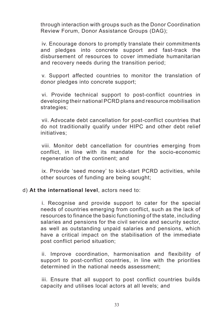through interaction with groups such as the Donor Coordination Review Forum, Donor Assistance Groups (DAG);

 iv. Encourage donors to promptly translate their commitments and pledges into concrete support and fast-track the disbursement of resources to cover immediate humanitarian and recovery needs during the transition period;

 v. Support affected countries to monitor the translation of donor pledges into concrete support;

 vi. Provide technical support to post-conflict countries in developing their national PCRD plans and resource mobilisation strategies;

 vii. Advocate debt cancellation for post-conflict countries that do not traditionally qualify under HIPC and other debt relief initiatives;

 viii. Monitor debt cancellation for countries emerging from conflict, in line with its mandate for the socio-economic regeneration of the continent; and

 ix. Provide 'seed money' to kick-start PCRD activities, while other sources of funding are being sought;

### d) **At the international level**, actors need to:

 i. Recognise and provide support to cater for the special needs of countries emerging from conflict, such as the lack of resources to finance the basic functioning of the state, including salaries and pensions for the civil service and security sector, as well as outstanding unpaid salaries and pensions, which have a critical impact on the stabilisation of the immediate post conflict period situation;

 ii. Improve coordination, harmonisation and flexibility of support to post-conflict countries, in line with the priorities determined in the national needs assessment;

 iii. Ensure that all support to post conflict countries builds capacity and utilises local actors at all levels; and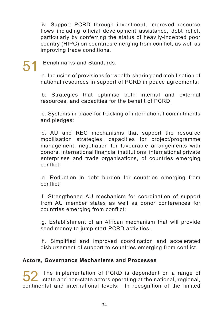iv. Support PCRD through investment, improved resource flows including official development assistance, debt relief, particularly by conferring the status of heavily-indebted poor country (HIPC) on countries emerging from conflict, as well as improving trade conditions.

# Benchmarks and Standards:

 a. Inclusion of provisions for wealth-sharing and mobilisation of national resources in support of PCRD in peace agreements;

 b. Strategies that optimise both internal and external resources, and capacities for the benefit of PCRD;

 c. Systems in place for tracking of international commitments and pledges;

 d. AU and REC mechanisms that support the resource mobilisation strategies, capacities for project/programme management, negotiation for favourable arrangements with donors, international financial institutions, international private enterprises and trade organisations, of countries emerging conflict;

 e. Reduction in debt burden for countries emerging from conflict;

 f. Strengthened AU mechanism for coordination of support from AU member states as well as donor conferences for countries emerging from conflict;

 g. Establishment of an African mechanism that will provide seed money to jump start PCRD activities;

 h. Simplified and improved coordination and accelerated disbursement of support to countries emerging from conflict.

## **Actors, Governance Mechanisms and Processes**

52 The implementation of PCRD is dependent on a range of state and non-state actors operating at the national, regional, continental and international levels. In recognition of the limited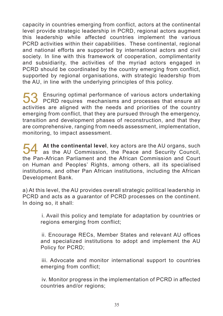capacity in countries emerging from conflict, actors at the continental level provide strategic leadership in PCRD, regional actors augment this leadership while affected countries implement the various PCRD activities within their capabilities. These continental, regional and national efforts are supported by international actors and civil society. In line with this framework of cooperation, complimentarity and subsidiarity, the activities of the myriad actors engaged in PCRD should be coordinated by the country emerging from conflict. supported by regional organisations, with strategic leadership from the AU, in line with the underlying principles of this policy.

53 Ensuring optimal performance of various actors undertaking<br>PCRD requires mechanisms and processes that ensure all activities are aligned with the needs and priorities of the country emerging from conflict, that they are pursued through the emergency, transition and development phases of reconstruction, and that they are comprehensive, ranging from needs assessment, implementation, monitoring, to impact assessment.

**54** At the continental level, key actors are the AU organs, such as the AU Commission, the Peace and Security Council, the Pan-African Parliament and the African Commission and Court on Human and Peoples' Rights, among others, all its specialised institutions, and other Pan African institutions, including the African Development Bank.

a) At this level, the AU provides overall strategic political leadership in PCRD and acts as a guarantor of PCRD processes on the continent. In doing so, it shall:

 i. Avail this policy and template for adaptation by countries or regions emerging from conflict;

 ii. Encourage RECs, Member States and relevant AU offices and specialized institutions to adopt and implement the AU Policy for PCRD;

 iii. Advocate and monitor international support to countries emerging from conflict;

 iv. Monitor progress in the implementation of PCRD in affected countries and/or regions;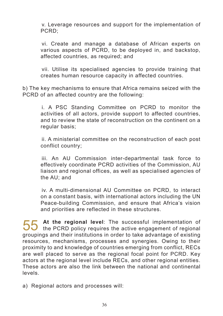v. Leverage resources and support for the implementation of PCRD;

 vi. Create and manage a database of African experts on various aspects of PCRD, to be deployed in, and backstop, affected countries, as required; and

 vii. Utilise its specialised agencies to provide training that creates human resource capacity in affected countries.

b) The key mechanisms to ensure that Africa remains seized with the PCRD of an affected country are the following:

 i. A PSC Standing Committee on PCRD to monitor the activities of all actors, provide support to affected countries, and to review the state of reconstruction on the continent on a regular basis;

 ii. A ministerial committee on the reconstruction of each post conflict country;

 iii. An AU Commission inter-departmental task force to effectively coordinate PCRD activities of the Commission, AU liaison and regional offices, as well as specialised agencies of the AU; and

 iv. A multi-dimensional AU Committee on PCRD, to interact on a constant basis, with international actors including the UN Peace-building Commission, and ensure that Africa's vision and priorities are reflected in these structures.

55 At the regional level: The successful implementation of the PCRD policy requires the active engagement of regional groupings and their institutions in order to take advantage of existing resources, mechanisms, processes and synergies. Owing to their proximity to and knowledge of countries emerging from conflict, RECs are well placed to serve as the regional focal point for PCRD. Key actors at the regional level include RECs, and other regional entities. These actors are also the link between the national and continental levels.

a) Regional actors and processes will: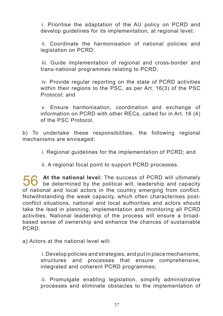i. Prioritise the adaptation of the AU policy on PCRD and develop guidelines for its implementation, at regional level;

 ii. Coordinate the harmonisation of national policies and legislation on PCRD;

 iii. Guide implementation of regional and cross-border and trans-national programmes relating to PCRD;

 iv. Provide regular reporting on the state of PCRD activities within their regions to the PSC, as per Art. 16(3) of the PSC Protocol; and

 v. Ensure harmonisation, coordination and exchange of information on PCRD with other RECs, called for in Art. 16 (4) of the PSC Protocol.

b) To undertake these responsibilities, the following regional mechanisms are envisaged:

 i. Regional guidelines for the implementation of PCRD; and

 ii. A regional focal point to support PCRD processes.

56 At the national level: The success of PCRD will ultimately<br>be determined by the political will, leadership and capacity of national and local actors in the country emerging from conflict. Notwithstanding the weak capacity, which often characterises postconflict situations, national and local authorities and actors should take the lead in planning, implementation and monitoring all PCRD activities. National leadership of the process will ensure a broadbased sense of ownership and enhance the chances of sustainable PCRD.

a) Actors at the national level will:

 i. Develop policies and strategies, and put in place mechanisms, structures and processes that ensure comprehensive, integrated and coherent PCRD programmes;

 ii. Promulgate enabling legislation, simplify administrative processes and eliminate obstacles to the implementation of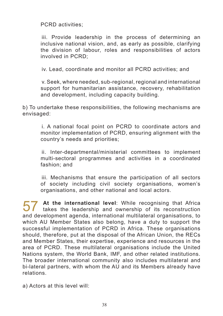PCRD activities;

 iii. Provide leadership in the process of determining an inclusive national vision, and, as early as possible, clarifying the division of labour, roles and responsibilities of actors involved in PCRD;

 iv. Lead, coordinate and monitor all PCRD activities; and

 v. Seek, where needed, sub-regional, regional and international support for humanitarian assistance, recovery, rehabilitation and development, including capacity building.

b) To undertake these responsibilities, the following mechanisms are envisaged:

 i. A national focal point on PCRD to coordinate actors and monitor implementation of PCRD, ensuring alignment with the country's needs and priorities;

 ii. Inter-departmental/ministerial committees to implement multi-sectoral programmes and activities in a coordinated fashion; and

 iii. Mechanisms that ensure the participation of all sectors of society including civil society organisations, women's organisations, and other national and local actors.

57 At the international level: While recognising that Africa<br>takes the leadership and ownership of its reconstruction and development agenda, international multilateral organisations, to which AU Member States also belong, have a duty to support the successful implementation of PCRD in Africa. These organisations should, therefore, put at the disposal of the African Union, the RECs and Member States, their expertise, experience and resources in the area of PCRD. These multilateral organisations include the United Nations system, the World Bank, IMF, and other related institutions. The broader international community also includes multilateral and bi-lateral partners, with whom the AU and its Members already have relations.

a) Actors at this level will: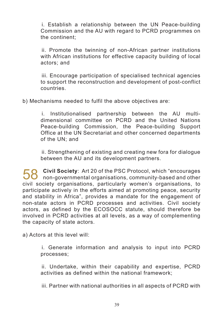i. Establish a relationship between the UN Peace-building Commission and the AU with regard to PCRD programmes on the continent;

 ii. Promote the twinning of non-African partner institutions with African institutions for effective capacity building of local actors; and

 iii. Encourage participation of specialised technical agencies to support the reconstruction and development of post-conflict countries.

b) Mechanisms needed to fulfil the above objectives are:

 i. Institutionalised partnership between the AU multidimensional committee on PCRD and the United Nations Peace-building Commission, the Peace-building Support Office at the UN Secretariat and other concerned departments of the UN; and

 ii. Strengthening of existing and creating new fora for dialogue between the AU and its development partners.

58 **Civil Society**: Art <sup>20</sup> of the PSC Protocol, which "encourages non-governmental organisations, community-based and other civil society organisations, particularly women's organisations, to participate actively in the efforts aimed at promoting peace, security and stability in Africa", provides a mandate for the engagement of non-state actors in PCRD processes and activities. Civil society actors, as defined by the ECOSOCC statute, should therefore be involved in PCRD activities at all levels, as a way of complementing the capacity of state actors.

a) Actors at this level will:

 i. Generate information and analysis to input into PCRD processes;

 ii. Undertake, within their capability and expertise, PCRD activities as defined within the national framework;

 iii. Partner with national authorities in all aspects of PCRD with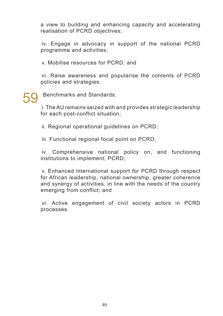a view to building and enhancing capacity and accelerating realisation of PCRD objectives;

 iv. Engage in advocacy in support of the national PCRD programme and activities;

 v. Mobilise resources for PCRD; and

 vi. Raise awareness and popularise the contents of PCRD policies and strategies.

Benchmarks and Standards:

 i. The AU remains seized with and provides strategic leadership for each post-conflict situation;

 ii. Regional operational guidelines on PCRD;

 iii. Functional regional focal point on PCRD;

 iv. Comprehensive national policy on, and functioning institutions to implement, PCRD;

 v. Enhanced international support for PCRD through respect for African leadership, national ownership, greater coherence and synergy of activities, in line with the needs of the country emerging from conflict; and

 vi. Active engagement of civil society actors in PCRD processes.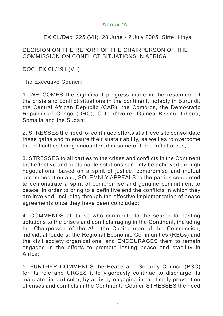# **Annex 'A'**

# EX.CL/Dec. 225 (VII), 28 June - 2 July 2005, Sirte, Libya

### DECISION ON THE REPORT OF THE CHAIRPERSON OF THE COMMISSION ON CONFLICT SITUATIONS IN AFRICA

DOC. EX.CL/191 (VII)

The Executive Council:

1. WELCOMES the significant progress made in the resolution of the crisis and conflict situations in the continent, notably in Burundi, the Central African Republic (CAR), the Comoros, the Democratic Republic of Congo (DRC), Cote d'Ivoire, Guinea Bissau, Liberia, Somalia and the Sudan;

2. STRESSES the need for continued efforts at all levels to consolidate these gains and to ensure their sustainability, as well as to overcome the difficulties being encountered in some of the conflict areas;

3. STRESSES to all parties to the crises and conflicts in the Continent that effective and sustainable solutions can only be achieved through negotiations, based on a spirit of justice, compromise and mutual accommodation and, SOLEMNLY APPEALS to the parties concerned to demonstrate a spirit of compromise and genuine commitment to peace, in order to bring to a definitive end the conflicts in which they are involved, including through the effective implementation of peace agreements once they have been concluded;

4. COMMENDS all those who contribute to the search for lasting solutions to the crises and conflicts raging in the Continent, including the Chairperson of the AU, the Chairperson of the Commission, individual leaders, the Regional Economic Communities (RECs) and the civil society organizations, and ENCOURAGES them to remain engaged in the efforts to promote lasting peace and stability in Africa;

5. FURTHER COMMENDS the Peace and Security Council (PSC) for its role and URGES it to vigorously continue to discharge its mandate, in particular, by actively engaging in the timely prevention of crises and conflicts in the Continent. Council STRESSES the need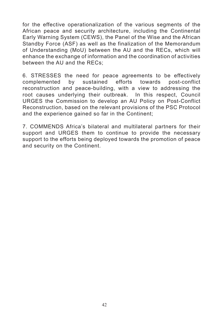for the effective operationalization of the various segments of the African peace and security architecture, including the Continental Early Warning System (CEWS), the Panel of the Wise and the African Standby Force (ASF) as well as the finalization of the Memorandum of Understanding (MoU) between the AU and the RECs, which will enhance the exchange of information and the coordination of activities between the AU and the RECs;

6. STRESSES the need for peace agreements to be effectively complemented by sustained efforts towards post-conflict reconstruction and peace-building, with a view to addressing the root causes underlying their outbreak. In this respect, Council URGES the Commission to develop an AU Policy on Post-Conflict Reconstruction, based on the relevant provisions of the PSC Protocol and the experience gained so far in the Continent;

7. COMMENDS Africa's bilateral and multilateral partners for their support and URGES them to continue to provide the necessary support to the efforts being deployed towards the promotion of peace and security on the Continent.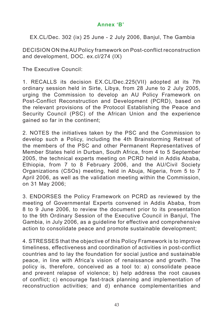# **Annex 'B'**

EX.CL/Dec. 302 (ix) 25 June - 2 July 2006, Banjul, The Gambia

DECISION ON theAU Policy framework on Post-conflict reconstruction and development, DOC. ex.cl/274 (IX)

The Executive Council:

1. RECALLS its decision EX.CL/Dec.225(VII) adopted at its 7th ordinary session held in Sirte, Libya, from 28 June to 2 July 2005, urging the Commission to develop an AU Policy Framework on Post-Conflict Reconstruction and Development (PCRD), based on the relevant provisions of the Protocol Establishing the Peace and Security Council (PSC) of the African Union and the experience gained so far in the continent;

2. NOTES the initiatives taken by the PSC and the Commission to develop such a Policy, including the 4th Brainstorming Retreat of the members of the PSC and other Permanent Representatives of Member States held in Durban, South Africa, from 4 to 5 September 2005, the technical experts meeting on PCRD held in Addis Ababa, Ethiopia, from 7 to 8 February 2006, and the AU/Civil Society Organizations (CSOs) meeting, held in Abuja, Nigeria, from 5 to 7 April 2006, as well as the validation meeting within the Commission, on 31 May 2006;

3. ENDORSES the Policy Framework on PCRD as reviewed by the meeting of Governmental Experts convened in Addis Ababa, from 8 to 9 June 2006, to review the document prior to its presentation to the 9th Ordinary Session of the Executive Council in Banjul, The Gambia, in July 2006, as a guideline for effective and comprehensive action to consolidate peace and promote sustainable development;

4. STRESSES that the objective of this Policy Framework is to improve timeliness, effectiveness and coordination of activities in post-conflict countries and to lay the foundation for social justice and sustainable peace, in line with Africa's vision of renaissance and growth. The policy is, therefore, conceived as a tool to: a) consolidate peace and prevent relapse of violence; b) help address the root causes of conflict; c) encourage fast-track planning and implementation of reconstruction activities; and d) enhance complementarities and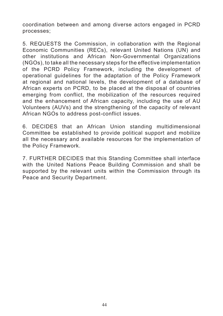coordination between and among diverse actors engaged in PCRD processes;

5. REQUESTS the Commission, in collaboration with the Regional Economic Communities (RECs), relevant United Nations (UN) and other institutions and African Non-Governmental Organizations (NGOs), to take all the necessary steps for the effective implementation of the PCRD Policy Framework, including the development of operational guidelines for the adaptation of the Policy Framework at regional and national levels, the development of a database of African experts on PCRD, to be placed at the disposal of countries emerging from conflict, the mobilization of the resources required and the enhancement of African capacity, including the use of AU Volunteers (AUVs) and the strengthening of the capacity of relevant African NGOs to address post-conflict issues.

6. DECIDES that an African Union standing multidimensional Committee be established to provide political support and mobilize all the necessary and available resources for the implementation of the Policy Framework.

7. FURTHER DECIDES that this Standing Committee shall interface with the United Nations Peace Building Commission and shall be supported by the relevant units within the Commission through its Peace and Security Department.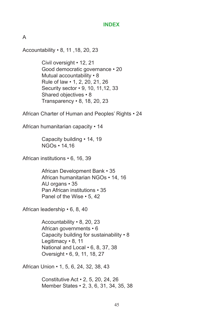#### **INDEX**

A

Accountability • 8, 11 ,18, 20, 23

 Civil oversight • 12, 21 Good democratic governance • 20 Mutual accountability • 8 Rule of law • 1, 2, 20, 21, 26 Security sector • 9, 10, 11,12, 33 Shared objectives • 8 Transparency • 8, 18, 20, 23

African Charter of Human and Peoples' Rights • 24

African humanitarian capacity • 14

 Capacity building • 14, 19 NGOs • 14,16

African institutions • 6, 16, 39

 African Development Bank • 35 African humanitarian NGOs • 14, 16 AU organs • 35 Pan African institutions • 35 Panel of the Wise • 5, 42

African leadership • 6, 8, 40

 Accountability • 8, 20, 23 African governments • 6 Capacity building for sustainability • 8 Legitimacy • 8, 11 National and Local • 6, 8, 37, 38 Oversight • 6, 9, 11, 18, 27

African Union • 1, 5, 6, 24, 32, 38, 43

 Constitutive Act • 2, 5, 20, 24, 26 Member States • 2, 3, 6, 31, 34, 35, 38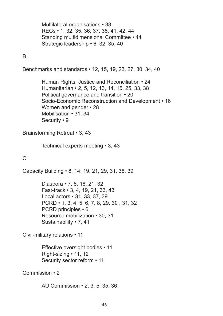Multilateral organisations • 38 RECs • 1, 32, 35, 36, 37, 38, 41, 42, 44 Standing multidimensional Committee • 44 Strategic leadership • 6, 32, 35, 40

### B

Benchmarks and standards • 12, 15, 19, 23, 27, 30, 34, 40

 Human Rights, Justice and Reconciliation • 24 Humanitarian • 2, 5, 12, 13, 14, 15, 25, 33, 38 Political governance and transition • 20 Socio-Economic Reconstruction and Development • 16 Women and gender • 28 Mobilisation • 31, 34 Security • 9

Brainstorming Retreat • 3, 43

 Technical experts meeting • 3, 43

## C

Capacity Building • 8, 14, 19, 21, 29, 31, 38, 39

 Diaspora • 7, 8, 18, 21, 32 Fast-track • 3, 4, 19, 21, 33, 43 Local actors • 31, 33, 37, 39 PCRD • 1, 3, 4, 5, 6, 7, 8, 29, 30 , 31, 32 PCRD principles • 6 Resource mobilization • 30, 31 Sustainability • 7, 41

Civil-military relations • 11

 Effective oversight bodies • 11 Right-sizing • 11, 12 Security sector reform • 11

Commission • 2

 AU Commission • 2, 3, 5, 35, 36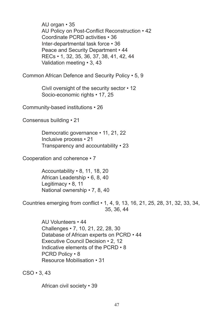AU organ • 35 AU Policy on Post-Conflict Reconstruction • 42 Coordinate PCRD activities • 36 Inter-departmental task force • 36 Peace and Security Department • 44 RECs • 1, 32, 35, 36, 37, 38, 41, 42, 44 Validation meeting • 3, 43 Common African Defence and Security Policy • 5, 9 Civil oversight of the security sector • 12 Socio-economic rights • 17, 25 Community-based institutions • 26 Consensus building • 21 Democratic governance • 11, 21, 22 Inclusive process • 21 Transparency and accountability • 23 Cooperation and coherence • 7 Accountability • 8, 11, 18, 20 African Leadership • 6, 8, 40 Legitimacy • 8, 11 National ownership • 7, 8, 40 Countries emerging from conflict • 1, 4, 9, 13, 16, 21, 25, 28, 31, 32, 33, 34, 35, 36, 44 AU Volunteers • 44 Challenges • 7, 10, 21, 22, 28, 30 Database of African experts on PCRD • 44 Executive Council Decision • 2, 12 Indicative elements of the PCRD • 8 PCRD Policy • 8 Resource Mobilisation • 31  $CSO \cdot 3$ , 43

 African civil society • 39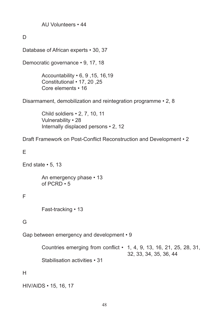AU Volunteers • 44

 $\Box$ 

Database of African experts • 30, 37

Democratic governance • 9, 17, 18

 Accountability • 6, 9 ,15, 16,19 Constitutional • 17, 20 ,25 Core elements • 16

Disarmament, demobilization and reintegration programme • 2, 8

 Child soldiers • 2, 7, 10, 11 Vulnerability • 28 Internally displaced persons • 2, 12

Draft Framework on Post-Conflict Reconstruction and Development • 2

E

End state  $\cdot$  5, 13

 An emergency phase • 13 of PCRD • 5

### F

 Fast-tracking • 13

## G

Gap between emergency and development • 9

 Countries emerging from conflict • 1, 4, 9, 13, 16, 21, 25, 28, 31, 32, 33, 34, 35, 36, 44

 Stabilisation activities • 31

H

HIV/AIDS • 15, 16, 17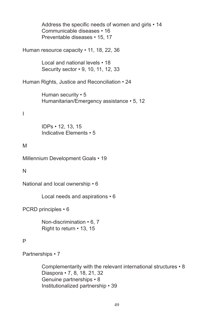Address the specific needs of women and girls • 14 Communicable diseases • 16 Preventable diseases • 15, 17 Human resource capacity • 11, 18, 22, 36 Local and national levels • 18 Security sector • 9, 10, 11, 12, 33 Human Rights, Justice and Reconciliation • 24 Human security • 5 Humanitarian/Emergency assistance • 5, 12 I IDPs • 12, 13, 15 Indicative Elements • 5 M Millennium Development Goals • 19 N National and local ownership • 6 Local needs and aspirations • 6 PCRD principles • 6 Non-discrimination • 6, 7 Right to return • 13, 15 P Partnerships • 7 Complementarity with the relevant international structures • 8 Diaspora • 7, 8, 18, 21, 32 Genuine partnerships • 8 Institutionalized partnership • 39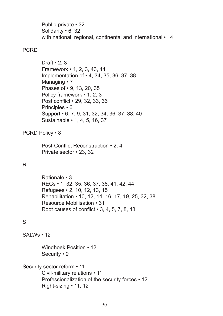Public-private • 32 Solidarity • 6, 32 with national, regional, continental and international • 14

#### PCRD

Draft  $\cdot$  2, 3 Framework • 1, 2, 3, 43, 44 Implementation of • 4, 34, 35, 36, 37, 38 Managing • 7 Phases of • 9, 13, 20, 35 Policy framework • 1, 2, 3 Post conflict • 29, 32, 33, 36 Principles • 6 Support • 6, 7, 9, 31, 32, 34, 36, 37, 38, 40 Sustainable • 1, 4, 5, 16, 37

PCRD Policy • 8

 Post-Conflict Reconstruction • 2, 4 Private sector • 23, 32

### R

 Rationale • 3 RECs • 1, 32, 35, 36, 37, 38, 41, 42, 44 Refugees • 2, 10, 12, 13, 15 Rehabilitation • 10, 12, 14, 16, 17, 19, 25, 32, 38 Resource Mobilisation • 31 Root causes of conflict • 3, 4, 5, 7, 8, 43

## S

SALWs • 12

 Windhoek Position • 12 Security • 9

Security sector reform • 11 Civil-military relations • 11 Professionalization of the security forces • 12 Right-sizing • 11, 12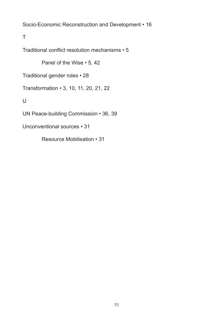Socio-Economic Reconstruction and Development • 16

T

Traditional conflict resolution mechanisms • 5

 Panel of the Wise • 5, 42

Traditional gender roles • 28

Transformation • 3, 10, 11, 20, 21, 22

 $\cup$ 

UN Peace-building Commission • 36, 39

Unconventional sources • 31

 Resource Mobilisation • 31